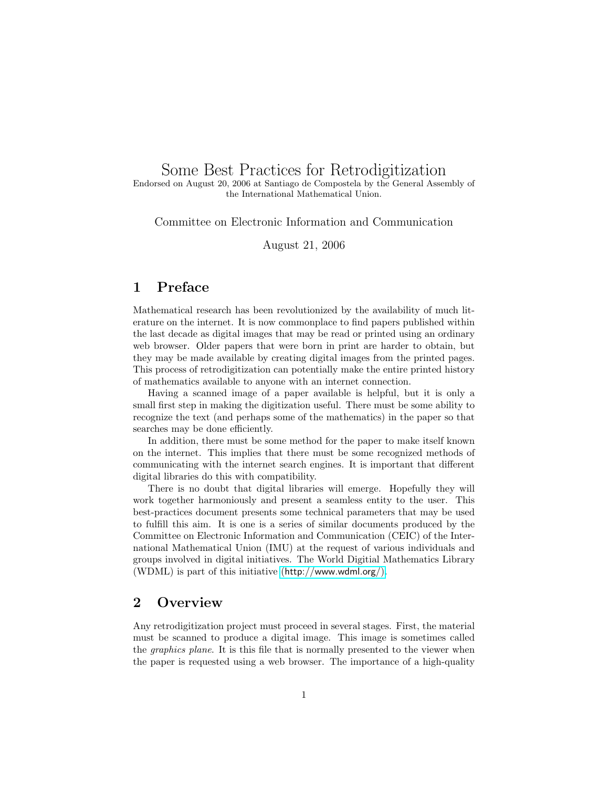# Some Best Practices for Retrodigitization

Endorsed on August 20, 2006 at Santiago de Compostela by the General Assembly of the International Mathematical Union.

Committee on Electronic Information and Communication

August 21, 2006

### 1 Preface

Mathematical research has been revolutionized by the availability of much literature on the internet. It is now commonplace to find papers published within the last decade as digital images that may be read or printed using an ordinary web browser. Older papers that were born in print are harder to obtain, but they may be made available by creating digital images from the printed pages. This process of retrodigitization can potentially make the entire printed history of mathematics available to anyone with an internet connection.

Having a scanned image of a paper available is helpful, but it is only a small first step in making the digitization useful. There must be some ability to recognize the text (and perhaps some of the mathematics) in the paper so that searches may be done efficiently.

In addition, there must be some method for the paper to make itself known on the internet. This implies that there must be some recognized methods of communicating with the internet search engines. It is important that different digital libraries do this with compatibility.

There is no doubt that digital libraries will emerge. Hopefully they will work together harmoniously and present a seamless entity to the user. This best-practices document presents some technical parameters that may be used to fulfill this aim. It is one is a series of similar documents produced by the Committee on Electronic Information and Communication (CEIC) of the International Mathematical Union (IMU) at the request of various individuals and groups involved in digital initiatives. The World Digitial Mathematics Library (WDML) is part of this initiative (<http://www.wdml.org/>).

### 2 Overview

Any retrodigitization project must proceed in several stages. First, the material must be scanned to produce a digital image. This image is sometimes called the graphics plane. It is this file that is normally presented to the viewer when the paper is requested using a web browser. The importance of a high-quality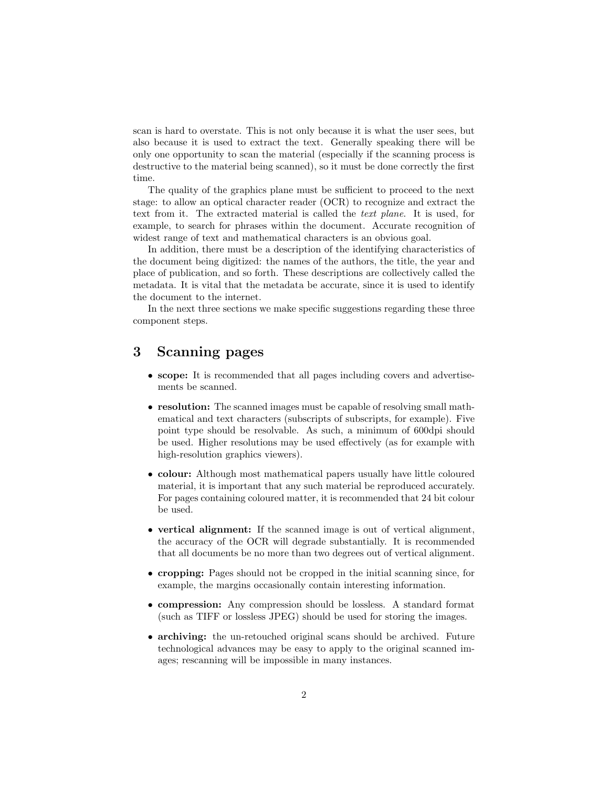scan is hard to overstate. This is not only because it is what the user sees, but also because it is used to extract the text. Generally speaking there will be only one opportunity to scan the material (especially if the scanning process is destructive to the material being scanned), so it must be done correctly the first time.

The quality of the graphics plane must be sufficient to proceed to the next stage: to allow an optical character reader (OCR) to recognize and extract the text from it. The extracted material is called the text plane. It is used, for example, to search for phrases within the document. Accurate recognition of widest range of text and mathematical characters is an obvious goal.

In addition, there must be a description of the identifying characteristics of the document being digitized: the names of the authors, the title, the year and place of publication, and so forth. These descriptions are collectively called the metadata. It is vital that the metadata be accurate, since it is used to identify the document to the internet.

In the next three sections we make specific suggestions regarding these three component steps.

### 3 Scanning pages

- scope: It is recommended that all pages including covers and advertisements be scanned.
- resolution: The scanned images must be capable of resolving small mathematical and text characters (subscripts of subscripts, for example). Five point type should be resolvable. As such, a minimum of 600dpi should be used. Higher resolutions may be used effectively (as for example with high-resolution graphics viewers).
- colour: Although most mathematical papers usually have little coloured material, it is important that any such material be reproduced accurately. For pages containing coloured matter, it is recommended that 24 bit colour be used.
- vertical alignment: If the scanned image is out of vertical alignment, the accuracy of the OCR will degrade substantially. It is recommended that all documents be no more than two degrees out of vertical alignment.
- cropping: Pages should not be cropped in the initial scanning since, for example, the margins occasionally contain interesting information.
- compression: Any compression should be lossless. A standard format (such as TIFF or lossless JPEG) should be used for storing the images.
- archiving: the un-retouched original scans should be archived. Future technological advances may be easy to apply to the original scanned images; rescanning will be impossible in many instances.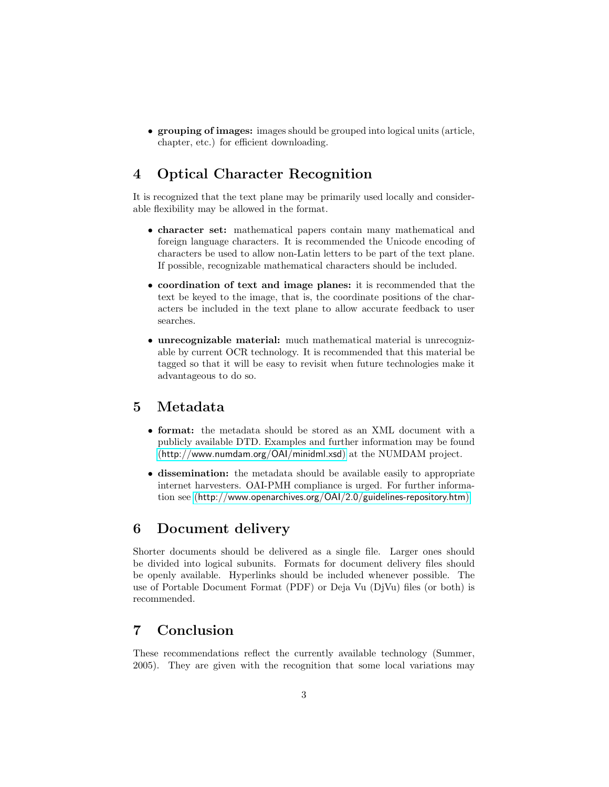• grouping of images: images should be grouped into logical units (article, chapter, etc.) for efficient downloading.

## 4 Optical Character Recognition

It is recognized that the text plane may be primarily used locally and considerable flexibility may be allowed in the format.

- character set: mathematical papers contain many mathematical and foreign language characters. It is recommended the Unicode encoding of characters be used to allow non-Latin letters to be part of the text plane. If possible, recognizable mathematical characters should be included.
- coordination of text and image planes: it is recommended that the text be keyed to the image, that is, the coordinate positions of the characters be included in the text plane to allow accurate feedback to user searches.
- unrecognizable material: much mathematical material is unrecognizable by current OCR technology. It is recommended that this material be tagged so that it will be easy to revisit when future technologies make it advantageous to do so.

### 5 Metadata

- format: the metadata should be stored as an XML document with a publicly available DTD. Examples and further information may be found (<http://www.numdam.org/OAI/minidml.xsd>) at the NUMDAM project.
- dissemination: the metadata should be available easily to appropriate internet harvesters. OAI-PMH compliance is urged. For further information see (<http://www.openarchives.org/OAI/2.0/guidelines-repository.htm>)

#### 6 Document delivery

Shorter documents should be delivered as a single file. Larger ones should be divided into logical subunits. Formats for document delivery files should be openly available. Hyperlinks should be included whenever possible. The use of Portable Document Format (PDF) or Deja Vu (DjVu) files (or both) is recommended.

### 7 Conclusion

These recommendations reflect the currently available technology (Summer, 2005). They are given with the recognition that some local variations may